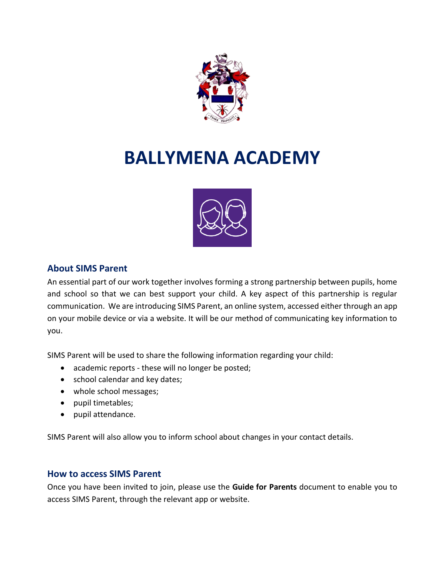

# **BALLYMENA ACADEMY**



# **About SIMS Parent**

An essential part of our work together involves forming a strong partnership between pupils, home and school so that we can best support your child. A key aspect of this partnership is regular communication. We are introducing SIMS Parent, an online system, accessed either through an app on your mobile device or via a website. It will be our method of communicating key information to you.

SIMS Parent will be used to share the following information regarding your child:

- academic reports these will no longer be posted;
- school calendar and key dates;
- whole school messages;
- pupil timetables;
- pupil attendance.

SIMS Parent will also allow you to inform school about changes in your contact details.

## **How to access SIMS Parent**

Once you have been invited to join, please use the **Guide for Parents** document to enable you to access SIMS Parent, through the relevant app or website.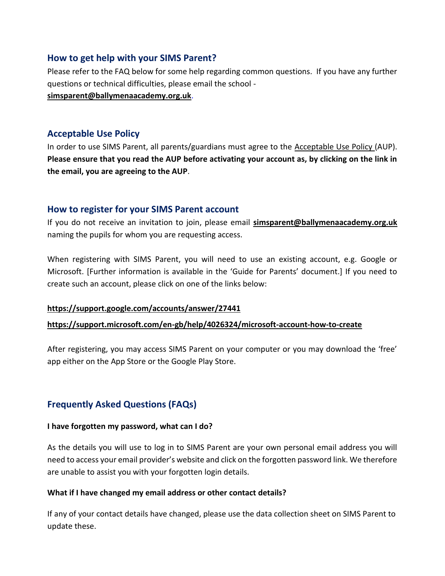## **How to get help with your SIMS Parent?**

[Please refer to the FAQ below for some help regarding common questions.](mailto:simsparent@ballymenaacademy.org.uk)If you have any further questions or technical difficulties, please email the school -

**[simsparent@ballymenaacademy.org.uk](mailto:simsparent@ballymenaacademy.org.uk.)**.

## **Acceptable Use Policy**

In order to use SIMS Parent, all parents/guardians must agree to the Acceptable Use Policy (AUP). **Please ensure that you read the AUP before activating your account as, by clicking on the link in the email, you are agreeing to the AUP**.

# **How to register for your SIMS Parent account**

If you do not receive an invitation to join, please email **[simsparent@ballymenaacademy.org.uk](mailto:simsparent@ballymenaacademy.org.uk)** naming the pupils for whom you are requesting access.

When registering with SIMS Parent, you will need to use an existing account, e.g. Google or Microsoft. [Further information is available in the 'Guide for Parents' document.] If you need to create such an account, please click on one of the links below:

## **<https://support.google.com/accounts/answer/27441>**

## **<https://support.microsoft.com/en-gb/help/4026324/microsoft-account-how-to-create>**

After registering, you may access SIMS Parent on your computer or you may download the 'free' app either on the App Store or the Google Play Store.

# **Frequently Asked Questions (FAQs)**

#### **I have forgotten my password, what can I do?**

As the details you will use to log in to SIMS Parent are your own personal email address you will need to access your email provider's website and click on the forgotten password link. We therefore are unable to assist you with your forgotten login details.

#### **What if I have changed my email address or other contact details?**

If any of your contact details have changed, please use the data collection sheet on SIMS Parent to update these.